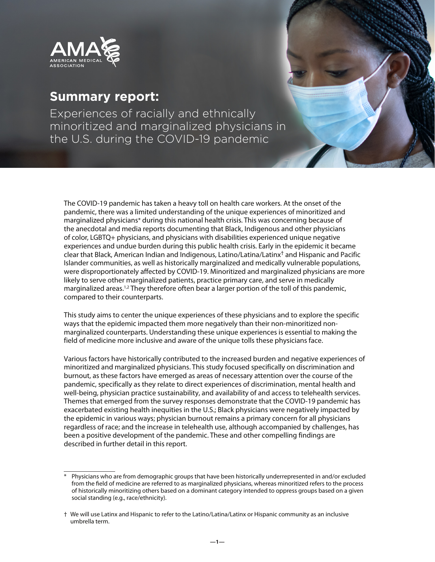<span id="page-0-0"></span>

# **Summary report:**

Experiences of racially and ethnically minoritized and marginalized physicians in the U.S. during the COVID-19 pandemic

The COVID-19 pandemic has taken a heavy toll on health care workers. At the onset of the pandemic, there was a limited understanding of the unique experiences of minoritized and marginalized physicians\* during this national health crisis. This was concerning because of the anecdotal and media reports documenting that Black, Indigenous and other physicians of color, LGBTQ+ physicians, and physicians with disabilities experienced unique negative experiences and undue burden during this public health crisis. Early in the epidemic it became clear that Black, American Indian and Indigenous, Latino/Latina/Latinx† and Hispanic and Pacific Islander communities, as well as historically marginalized and medically vulnerable populations, were disproportionately affected by COVID-19. Minoritized and marginalized physicians are more likely to serve other marginalized patients, practice primary care, and serve in medically marginalized areas.<sup>[1,2](#page-17-0)</sup> They therefore often bear a larger portion of the toll of this pandemic, compared to their counterparts.

This study aims to center the unique experiences of these physicians and to explore the specific ways that the epidemic impacted them more negatively than their non-minoritized nonmarginalized counterparts. Understanding these unique experiences is essential to making the field of medicine more inclusive and aware of the unique tolls these physicians face.

Various factors have historically contributed to the increased burden and negative experiences of minoritized and marginalized physicians. This study focused specifically on discrimination and burnout, as these factors have emerged as areas of necessary attention over the course of the pandemic, specifically as they relate to direct experiences of discrimination, mental health and well-being, physician practice sustainability, and availability of and access to telehealth services. Themes that emerged from the survey responses demonstrate that the COVID-19 pandemic has exacerbated existing health inequities in the U.S.; Black physicians were negatively impacted by the epidemic in various ways; physician burnout remains a primary concern for all physicians regardless of race; and the increase in telehealth use, although accompanied by challenges, has been a positive development of the pandemic. These and other compelling findings are described in further detail in this report.

Physicians who are from demographic groups that have been historically underrepresented in and/or excluded from the field of medicine are referred to as marginalized physicians, whereas minoritized refers to the process of historically minoritizing others based on a dominant category intended to oppress groups based on a given social standing (e.g., race/ethnicity).

<sup>†</sup> We will use Latinx and Hispanic to refer to the Latino/Latina/Latinx or Hispanic community as an inclusive umbrella term.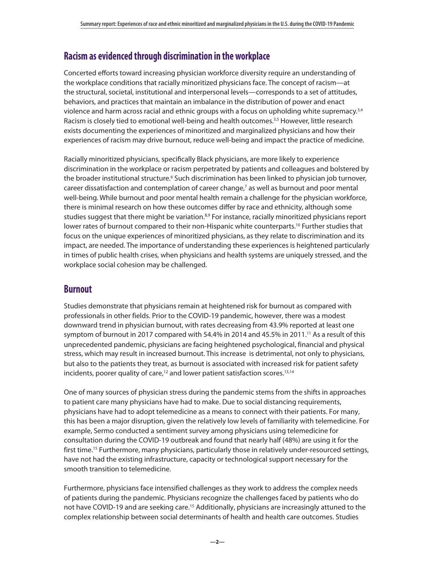## <span id="page-1-0"></span>**Racism as evidenced through discrimination in the workplace**

Concerted efforts toward increasing physician workforce diversity require an understanding of the workplace conditions that racially minoritized physicians face. The concept of racism—at the structural, societal, institutional and interpersonal levels—corresponds to a set of attitudes, behaviors, and practices that maintain an imbalance in the distribution of power and enact violence and harm across racial and ethnic groups with a focus on upholding white supremacy. $34$ Racism is closely tied to emotional well-being and health outcomes.<sup>[3,5](#page-17-0)</sup> However, little research exists documenting the experiences of minoritized and marginalized physicians and how their experiences of racism may drive burnout, reduce well-being and impact the practice of medicine.

Racially minoritized physicians, specifically Black physicians, are more likely to experience discrimination in the workplace or racism perpetrated by patients and colleagues and bolstered by the broader institutional structure.<sup>[6](#page-17-0)</sup> Such discrimination has been linked to physician job turnover, career dissatisfaction and contemplation of career change,<sup>[7](#page-17-0)</sup> as well as burnout and poor mental well-being. While burnout and poor mental health remain a challenge for the physician workforce, there is minimal research on how these outcomes differ by race and ethnicity, although some studies suggest that there might be variation.<sup>[8,9](#page-17-0)</sup> For instance, racially minoritized physicians report lower rates of burnout compared to their non-Hispanic white counterparts.<sup>[10](#page-17-0)</sup> Further studies that focus on the unique experiences of minoritized physicians, as they relate to discrimination and its impact, are needed. The importance of understanding these experiences is heightened particularly in times of public health crises, when physicians and health systems are uniquely stressed, and the workplace social cohesion may be challenged.

# **Burnout**

Studies demonstrate that physicians remain at heightened risk for burnout as compared with professionals in other fields. Prior to the COVID-19 pandemic, however, there was a modest downward trend in physician burnout, with rates decreasing from 43.9% reported at least one symptom of burnout in 2017 compared with 54.4% in 2014 and 45.5% in 20[11](#page-17-0).<sup>11</sup> As a result of this unprecedented pandemic, physicians are facing heightened psychological, financial and physical stress, which may result in increased burnout. This increase is detrimental, not only to physicians, but also to the patients they treat, as burnout is associated with increased risk for patient safety incidents, poorer quality of care,<sup>[12](#page-17-0)</sup> and lower patient satisfaction scores.<sup>[13,14](#page-17-0)</sup>

One of many sources of physician stress during the pandemic stems from the shifts in approaches to patient care many physicians have had to make. Due to social distancing requirements, physicians have had to adopt telemedicine as a means to connect with their patients. For many, this has been a major disruption, given the relatively low levels of familiarity with telemedicine. For example, Sermo conducted a sentiment survey among physicians using telemedicine for consultation during the COVID-19 outbreak and found that nearly half (48%) are using it for the first time.<sup>[15](#page-17-0)</sup> Furthermore, many physicians, particularly those in relatively under-resourced settings, have not had the existing infrastructure, capacity or technological support necessary for the smooth transition to telemedicine.

Furthermore, physicians face intensified challenges as they work to address the complex needs of patients during the pandemic. Physicians recognize the challenges faced by patients who do not have COVID-19 and are seeking care.<sup>15</sup> Additionally, physicians are increasingly attuned to the complex relationship between social determinants of health and health care outcomes. Studies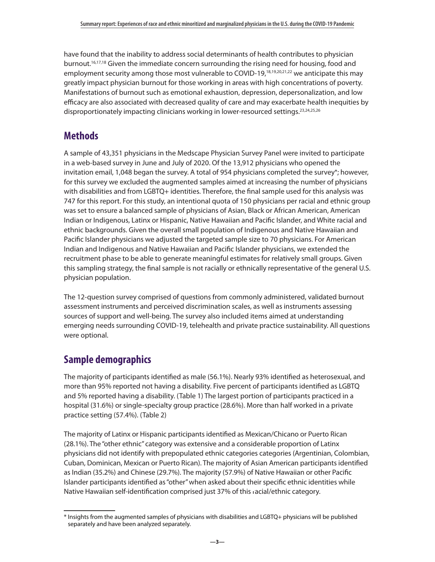<span id="page-2-0"></span>have found that the inability to address social determinants of health contributes to physician burnout.<sup>16,17,18</sup> Given the immediate concern surrounding the rising need for housing, food and employment security among those most vulnerable to COVID-19,<sup>[18,19,20,21,22](#page-18-0)</sup> we anticipate this may greatly impact physician burnout for those working in areas with high concentrations of poverty. Manifestations of burnout such as emotional exhaustion, depression, depersonalization, and low efficacy are also associated with decreased quality of care and may exacerbate health inequities by disproportionately impacting clinicians working in lower-resourced settings.<sup>23,24,25,26</sup>

# **Methods**

A sample of 43,351 physicians in the Medscape Physician Survey Panel were invited to participate in a web-based survey in June and July of 2020. Of the 13,912 physicians who opened the invitation email, 1,048 began the survey. A total of 954 physicians completed the survey\*; however, for this survey we excluded the augmented samples aimed at increasing the number of physicians with disabilities and from LGBTQ+ identities. Therefore, the final sample used for this analysis was 747 for this report. For this study, an intentional quota of 150 physicians per racial and ethnic group was set to ensure a balanced sample of physicians of Asian, Black or African American, American Indian or Indigenous, Latinx or Hispanic, Native Hawaiian and Pacific Islander, and White racial and ethnic backgrounds. Given the overall small population of Indigenous and Native Hawaiian and Pacific Islander physicians we adjusted the targeted sample size to 70 physicians. For American Indian and Indigenous and Native Hawaiian and Pacific Islander physicians, we extended the recruitment phase to be able to generate meaningful estimates for relatively small groups. Given this sampling strategy, the final sample is not racially or ethnically representative of the general U.S. physician population.

The 12-question survey comprised of questions from commonly administered, validated burnout assessment instruments and perceived discrimination scales, as well as instruments assessing sources of support and well-being. The survey also included items aimed at understanding emerging needs surrounding COVID-19, telehealth and private practice sustainability. All questions were optional.

# **Sample demographics**

The majority of participants identified as male (56.1%). Nearly 93% identified as heterosexual, and more than 95% reported not having a disability. Five percent of participants identified as LGBTQ and 5% reported having a disability. (Table 1) The largest portion of participants practiced in a hospital (31.6%) or single-specialty group practice (28.6%). More than half worked in a private practice setting (57.4%). (Table 2)

The majority of Latinx or Hispanic participants identified as Mexican/Chicano or Puerto Rican (28.1%). The "other ethnic" category was extensive and a considerable proportion of Latinx physicians did not identify with prepopulated ethnic categories categories (Argentinian, Colombian, Cuban, Dominican, Mexican or Puerto Rican). The majority of Asian American participants identified as Indian (35.2%) and Chinese (29.7%). The majority (57.9%) of Native Hawaiian or other Pacific Islander participants identified as "other" when asked about their specific ethnic identities while Native Hawaiian self-identification comprised just 37% of this racial/ethnic category.

<sup>\*</sup> Insights from the augmented samples of physicians with disabilities and LGBTQ+ physicians will be published separately and have been analyzed separately.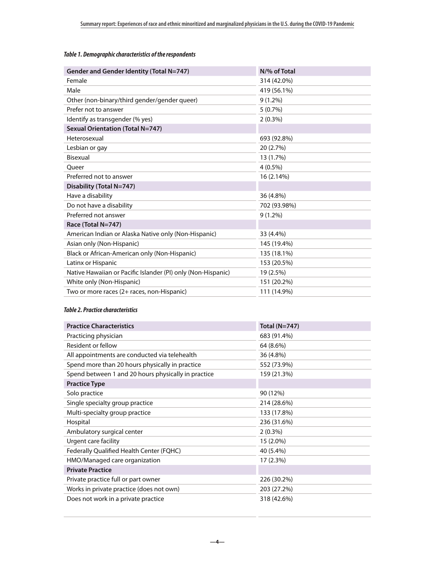#### *Table 1. Demographic characteristics of the respondents*

| Gender and Gender Identity (Total N=747)                     | N/% of Total |
|--------------------------------------------------------------|--------------|
| Female                                                       | 314 (42.0%)  |
| Male                                                         | 419 (56.1%)  |
| Other (non-binary/third gender/gender queer)                 | $9(1.2\%)$   |
| Prefer not to answer                                         | 5(0.7%)      |
| Identify as transgender (% yes)                              | $2(0.3\%)$   |
| <b>Sexual Orientation (Total N=747)</b>                      |              |
| Heterosexual                                                 | 693 (92.8%)  |
| Lesbian or gay                                               | 20 (2.7%)    |
| Bisexual                                                     | 13 (1.7%)    |
| Oueer                                                        | $4(0.5\%)$   |
| Preferred not to answer                                      | 16 (2.14%)   |
| Disability (Total N=747)                                     |              |
| Have a disability                                            | 36 (4.8%)    |
| Do not have a disability                                     | 702 (93.98%) |
| Preferred not answer                                         | $9(1.2\%)$   |
| Race (Total N=747)                                           |              |
| American Indian or Alaska Native only (Non-Hispanic)         | 33 (4.4%)    |
| Asian only (Non-Hispanic)                                    | 145 (19.4%)  |
| Black or African-American only (Non-Hispanic)                | 135 (18.1%)  |
| Latinx or Hispanic                                           | 153 (20.5%)  |
| Native Hawaiian or Pacific Islander (PI) only (Non-Hispanic) | 19 (2.5%)    |
| White only (Non-Hispanic)                                    | 151 (20.2%)  |
| Two or more races (2+ races, non-Hispanic)                   | 111 (14.9%)  |

#### *Table 2. Practice characteristics*

| <b>Practice Characteristics</b>                     | <b>Total (N=747)</b> |  |  |
|-----------------------------------------------------|----------------------|--|--|
| Practicing physician                                | 683 (91.4%)          |  |  |
| Resident or fellow                                  | 64 (8.6%)            |  |  |
| All appointments are conducted via telehealth       | 36 (4.8%)            |  |  |
| Spend more than 20 hours physically in practice     | 552 (73.9%)          |  |  |
| Spend between 1 and 20 hours physically in practice | 159 (21.3%)          |  |  |
| <b>Practice Type</b>                                |                      |  |  |
| Solo practice                                       | 90 (12%)             |  |  |
| Single specialty group practice                     | 214 (28.6%)          |  |  |
| Multi-specialty group practice                      | 133 (17.8%)          |  |  |
| Hospital                                            | 236 (31.6%)          |  |  |
| Ambulatory surgical center                          | $2(0.3\%)$           |  |  |
| Urgent care facility                                | 15 (2.0%)            |  |  |
| Federally Qualified Health Center (FQHC)            | 40 (5.4%)            |  |  |
| HMO/Managed care organization                       | 17 (2.3%)            |  |  |
| <b>Private Practice</b>                             |                      |  |  |
| Private practice full or part owner                 | 226 (30.2%)          |  |  |
| Works in private practice (does not own)            | 203 (27.2%)          |  |  |
| Does not work in a private practice                 | 318 (42.6%)          |  |  |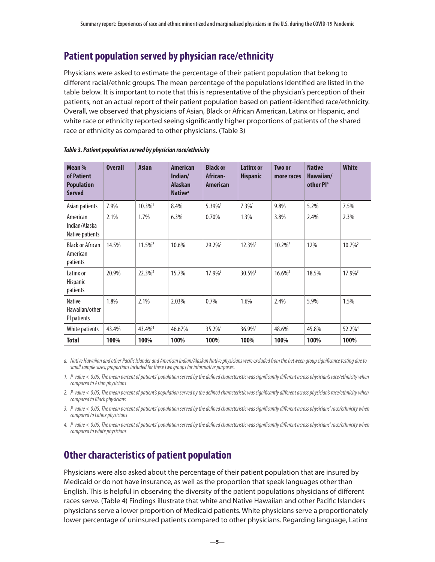# **Patient population served by physician race/ethnicity**

Physicians were asked to estimate the percentage of their patient population that belong to different racial/ethnic groups. The mean percentage of the populations identified are listed in the table below. It is important to note that this is representative of the physician's perception of their patients, not an actual report of their patient population based on patient-identified race/ethnicity. Overall, we observed that physicians of Asian, Black or African American, Latinx or Hispanic, and white race or ethnicity reported seeing significantly higher proportions of patients of the shared race or ethnicity as compared to other physicians. (Table 3)

| Mean %<br>of Patient<br><b>Population</b><br><b>Served</b> | <b>Overall</b> | <b>Asian</b>          | <b>American</b><br>Indian/<br><b>Alaskan</b><br><b>Native</b> <sup>a</sup> | <b>Black or</b><br>African-<br><b>American</b> | <b>Latinx or</b><br><b>Hispanic</b> | Two or<br>more races  | <b>Native</b><br>Hawaiian/<br>other Pl <sup>a</sup> | <b>White</b>          |
|------------------------------------------------------------|----------------|-----------------------|----------------------------------------------------------------------------|------------------------------------------------|-------------------------------------|-----------------------|-----------------------------------------------------|-----------------------|
| Asian patients                                             | 7.9%           | $10.3\%$ <sup>1</sup> | 8.4%                                                                       | 5.39%                                          | $7.3\%$ <sup>1</sup>                | 9.8%                  | 5.2%                                                | 7.5%                  |
| American<br>Indian/Alaska<br>Native patients               | 2.1%           | 1.7%                  | 6.3%                                                                       | 0.70%                                          | 1.3%                                | 3.8%                  | 2.4%                                                | 2.3%                  |
| <b>Black or African</b><br>American<br>patients            | 14.5%          | $11.5\%$ <sup>2</sup> | 10.6%                                                                      | 29.2% <sup>2</sup>                             | $12.3\%$ <sup>2</sup>               | $10.2\%$ <sup>2</sup> | 12%                                                 | 10.7% <sup>2</sup>    |
| Latinx or<br><b>Hispanic</b><br>patients                   | 20.9%          | $22.3\%$ <sup>3</sup> | 15.7%                                                                      | $17.9\%$ <sup>3</sup>                          | $30.5\%$ <sup>3</sup>               | $16.6\%$ <sup>3</sup> | 18.5%                                               | $17.9\%$ <sup>3</sup> |
| <b>Native</b><br>Hawaiian/other<br>PI patients             | 1.8%           | 2.1%                  | 2.03%                                                                      | 0.7%                                           | 1.6%                                | 2.4%                  | 5.9%                                                | 1.5%                  |
| White patients                                             | 43.4%          | 43.4% <sup>4</sup>    | 46.67%                                                                     | 35.2% <sup>4</sup>                             | 36.9% <sup>4</sup>                  | 48.6%                 | 45.8%                                               | 52.2% <sup>4</sup>    |
| Total                                                      | 100%           | 100%                  | 100%                                                                       | 100%                                           | 100%                                | 100%                  | 100%                                                | 100%                  |

#### *Table 3. Patient population served by physician race/ethnicity*

*a. Native Hawaiian and other Pacific Islander and American Indian/Alaskan Native physicians were excluded from the between group significance testing due to small sample sizes; proportions included for these two groups for informative purposes.* 

*1. P-value < 0.05, The mean percent of patients' population served by the defined characteristic was significantly different across physician's race/ethnicity when compared to Asian physicians* 

*2. P-value < 0.05, The mean percent of patient's population served by the defined characteristic was significantly different across physician's race/ethnicity when compared to Black physicians* 

*3. P-value < 0.05, The mean percent of patients' population served by the defined characteristic was significantly different across physicians' race/ethnicity when compared to Latinx physicians*

*4. P-value < 0.05, The mean percent of patients' population served by the defined characteristic was significantly different across physicians' race/ethnicity when compared to white physicians*

# **Other characteristics of patient population**

Physicians were also asked about the percentage of their patient population that are insured by Medicaid or do not have insurance, as well as the proportion that speak languages other than English. This is helpful in observing the diversity of the patient populations physicians of different races serve. (Table 4) Findings illustrate that white and Native Hawaiian and other Pacific Islanders physicians serve a lower proportion of Medicaid patients. White physicians serve a proportionately lower percentage of uninsured patients compared to other physicians. Regarding language, Latinx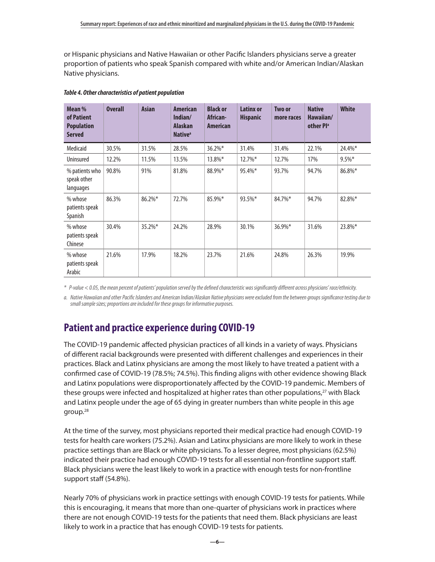<span id="page-5-0"></span>or Hispanic physicians and Native Hawaiian or other Pacific Islanders physicians serve a greater proportion of patients who speak Spanish compared with white and/or American Indian/Alaskan Native physicians.

| Mean %<br>of Patient<br><b>Population</b><br><b>Served</b> | <b>Overall</b> | <b>Asian</b> | <b>American</b><br>Indian/<br><b>Alaskan</b><br>Native <sup>a</sup> | <b>Black or</b><br>African-<br><b>American</b> | <b>Latinx or</b><br><b>Hispanic</b> | Two or<br>more races | <b>Native</b><br>Hawaiian/<br>other Pl <sup>a</sup> | <b>White</b> |
|------------------------------------------------------------|----------------|--------------|---------------------------------------------------------------------|------------------------------------------------|-------------------------------------|----------------------|-----------------------------------------------------|--------------|
| Medicaid                                                   | 30.5%          | 31.5%        | 28.5%                                                               | $36.2\%$ *                                     | 31.4%                               | 31.4%                | 22.1%                                               | 24.4%*       |
| Uninsured                                                  | 12.2%          | 11.5%        | 13.5%                                                               | $13.8\%$ *                                     | $12.7\%$ <sup>*</sup>               | 12.7%                | 17%                                                 | $9.5\%$ *    |
| % patients who<br>speak other<br>languages                 | 90.8%          | 91%          | 81.8%                                                               | 88.9%*                                         | 95.4%*                              | 93.7%                | 94.7%                                               | 86.8%*       |
| % whose<br>patients speak<br><b>Spanish</b>                | 86.3%          | $86.2\%$ *   | 72.7%                                                               | 85.9%*                                         | 93.5%*                              | 84.7%*               | 94.7%                                               | 82.8%*       |
| % whose<br>patients speak<br>Chinese                       | 30.4%          | $35.2\%$ *   | 24.2%                                                               | 28.9%                                          | 30.1%                               | $36.9\%$ *           | 31.6%                                               | 23.8%*       |
| % whose<br>patients speak<br>Arabic                        | 21.6%          | 17.9%        | 18.2%                                                               | 23.7%                                          | 21.6%                               | 24.8%                | 26.3%                                               | 19.9%        |

#### *Table 4. Other characteristics of patient population*

*\* P-value < 0.05, the mean percent of patients' population served by the defined characteristic was significantly different across physicians' race/ethnicity.*

*a. Native Hawaiian and other Pacific Islanders and American Indian/Alaskan Native physicians were excluded from the between groups significance testing due to small sample sizes; proportions are included for these groups for informative purposes.* 

# **Patient and practice experience during COVID-19**

The COVID-19 pandemic affected physician practices of all kinds in a variety of ways. Physicians of different racial backgrounds were presented with different challenges and experiences in their practices. Black and Latinx physicians are among the most likely to have treated a patient with a confirmed case of COVID-19 (78.5%; 74.5%). This finding aligns with other evidence showing Black and Latinx populations were disproportionately affected by the COVID-19 pandemic. Members of these groups were infected and hospitalized at higher rates than other populations, $27$  with Black and Latinx people under the age of 65 dying in greater numbers than white people in this age group.[28](#page-18-0)

At the time of the survey, most physicians reported their medical practice had enough COVID-19 tests for health care workers (75.2%). Asian and Latinx physicians are more likely to work in these practice settings than are Black or white physicians. To a lesser degree, most physicians (62.5%) indicated their practice had enough COVID-19 tests for all essential non-frontline support staff. Black physicians were the least likely to work in a practice with enough tests for non-frontline support staff (54.8%).

Nearly 70% of physicians work in practice settings with enough COVID-19 tests for patients. While this is encouraging, it means that more than one-quarter of physicians work in practices where there are not enough COVID-19 tests for the patients that need them. Black physicians are least likely to work in a practice that has enough COVID-19 tests for patients.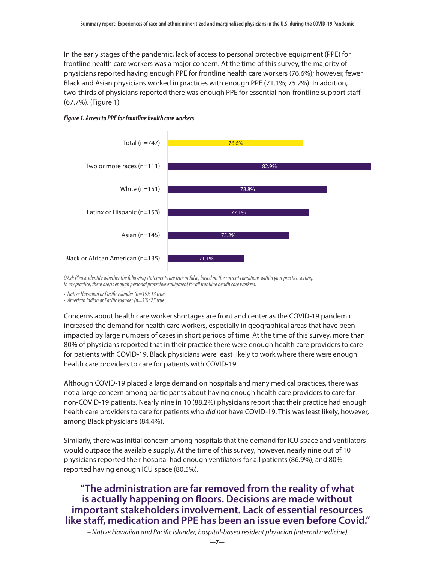In the early stages of the pandemic, lack of access to personal protective equipment (PPE) for frontline health care workers was a major concern. At the time of this survey, the majority of physicians reported having enough PPE for frontline health care workers (76.6%); however, fewer Black and Asian physicians worked in practices with enough PPE (71.1%; 75.2%). In addition, two-thirds of physicians reported there was enough PPE for essential non-frontline support staff (67.7%). (Figure 1)





*Q2.d: Please identify whether the following statements are true or false, based on the current conditions within your practice setting: In my practice, there are/is enough personal protective equipment for all frontline health care workers.*

*• Native Hawaiian or Pacific Islander (n=19): 13 true*

*• American Indian or Pacific Islander (n=33): 25 true*

Concerns about health care worker shortages are front and center as the COVID-19 pandemic increased the demand for health care workers, especially in geographical areas that have been impacted by large numbers of cases in short periods of time. At the time of this survey, more than 80% of physicians reported that in their practice there were enough health care providers to care for patients with COVID-19. Black physicians were least likely to work where there were enough health care providers to care for patients with COVID-19.

Although COVID-19 placed a large demand on hospitals and many medical practices, there was not a large concern among participants about having enough health care providers to care for non-COVID-19 patients. Nearly nine in 10 (88.2%) physicians report that their practice had enough health care providers to care for patients who *did not* have COVID-19. This was least likely, however, among Black physicians (84.4%).

Similarly, there was initial concern among hospitals that the demand for ICU space and ventilators would outpace the available supply. At the time of this survey, however, nearly nine out of 10 physicians reported their hospital had enough ventilators for all patients (86.9%), and 80% reported having enough ICU space (80.5%).

## **"The administration are far removed from the reality of what is actually happening on floors. Decisions are made without important stakeholders involvement. Lack of essential resources like staff, medication and PPE has been an issue even before Covid."**

*– Native Hawaiian and Pacific Islander, hospital-based resident physician (internal medicine)*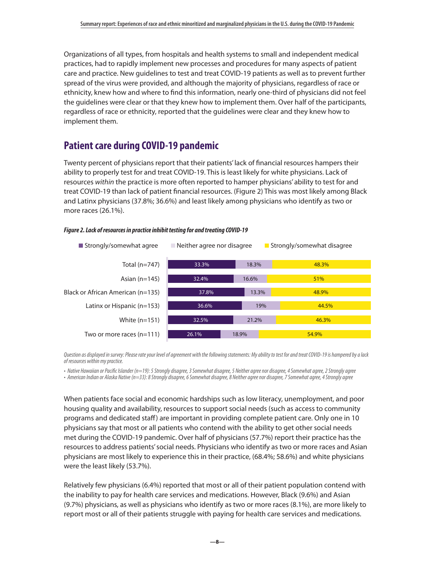Organizations of all types, from hospitals and health systems to small and independent medical practices, had to rapidly implement new processes and procedures for many aspects of patient care and practice. New guidelines to test and treat COVID-19 patients as well as to prevent further spread of the virus were provided, and although the majority of physicians, regardless of race or ethnicity, knew how and where to find this information, nearly one-third of physicians did not feel the guidelines were clear or that they knew how to implement them. Over half of the participants, regardless of race or ethnicity, reported that the guidelines were clear and they knew how to implement them.

# **Patient care during COVID-19 pandemic**

Twenty percent of physicians report that their patients' lack of financial resources hampers their ability to properly test for and treat COVID-19. This is least likely for white physicians. Lack of resources *within* the practice is more often reported to hamper physicians' ability to test for and treat COVID-19 than lack of patient financial resources. (Figure 2) This was most likely among Black and Latinx physicians (37.8%; 36.6%) and least likely among physicians who identify as two or more races (26.1%).

#### *Figure 2. Lack of resources in practice inhibit testing for and treating COVID-19*

were the least likely (53.7%).



*Question as displayed in survey: Please rate your level of agreement with the following statements: My ability to test for and treat COVID-19 is hampered by a lack of resources within my practice.* 

*• Native Hawaiian or Pacific Islander (n=19): 5 Strongly disagree, 3 Somewhat disagree, 5 Neither agree nor disagree, 4 Somewhat agree, 2 Strongly agree • American Indian or Alaska Native (n=33): 8 Strongly disagree, 6 Somewhat disagree, 8 Neither agree nor disagree, 7 Somewhat agree, 4 Strongly agree*

When patients face social and economic hardships such as low literacy, unemployment, and poor housing quality and availability, resources to support social needs (such as access to community programs and dedicated staff) are important in providing complete patient care. Only one in 10 physicians say that most or all patients who contend with the ability to get other social needs met during the COVID-19 pandemic. Over half of physicians (57.7%) report their practice has the resources to address patients' social needs. Physicians who identify as two or more races and Asian

physicians are most likely to experience this in their practice, (68.4%; 58.6%) and white physicians

Relatively few physicians (6.4%) reported that most or all of their patient population contend with the inability to pay for health care services and medications. However, Black (9.6%) and Asian (9.7%) physicians, as well as physicians who identify as two or more races (8.1%), are more likely to report most or all of their patients struggle with paying for health care services and medications.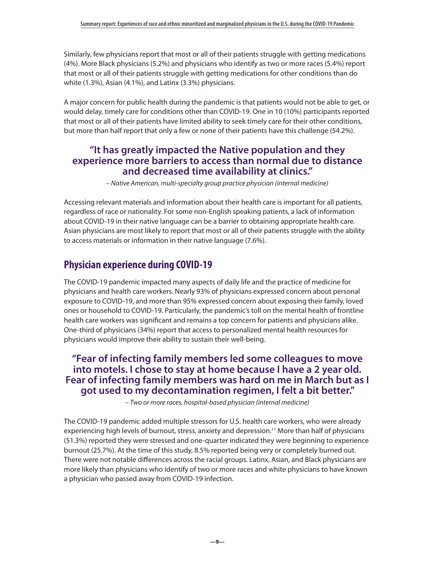Similarly, few physicians report that most or all of their patients struggle with getting medications (4%). More Black physicians (5.2%) and physicians who identify as two or more races (5.4%) report that most or all of their patients struggle with getting medications for other conditions than do white (1.3%), Asian (4.1%), and Latinx (3.3%) physicians.

A major concern for public health during the pandemic is that patients would not be able to get, or would delay, timely care for conditions other than COVID-19. One in 10 (10%) participants reported that most or all of their patients have limited ability to seek timely care for their other conditions, but more than half report that only a few or none of their patients have this challenge (54.2%).

### **"It has greatly impacted the Native population and they experience more barriers to access than normal due to distance and decreased time availability at clinics."**

*– Native American, multi-specialty group practice physician (internal medicine)*

Accessing relevant materials and information about their health care is important for all patients, regardless of race or nationality. For some non-English speaking patients, a lack of information about COVID-19 in their native language can be a barrier to obtaining appropriate health care. Asian physicians are most likely to report that most or all of their patients struggle with the ability to access materials or information in their native language (7.6%).

# **Physician experience during COVID-19**

The COVID-19 pandemic impacted many aspects of daily life and the practice of medicine for physicians and health care workers. Nearly 93% of physicians expressed concern about personal exposure to COVID-19, and more than 95% expressed concern about exposing their family, loved ones or household to COVID-19. Particularly, the pandemic's toll on the mental health of frontline health care workers was significant and remains a top concern for patients and physicians alike. One-third of physicians (34%) report that access to personalized mental health resources for physicians would improve their ability to sustain their well-being.

## **"Fear of infecting family members led some colleagues to move into motels. I chose to stay at home because I have a 2 year old. Fear of infecting family members was hard on me in March but as I got used to my decontamination regimen, I felt a bit better."**

*– Two or more races, hospital-based physician (internal medicine)*

The COVID-19 pandemic added multiple stressors for U.S. health care workers, who were already experiencing high levels of burnout, stress, anxiety and depression.<sup>11</sup> More than half of physicians (51.3%) reported they were stressed and one-quarter indicated they were beginning to experience burnout (25.7%). At the time of this study, 8.5% reported being very or completely burned out. There were not notable differences across the racial groups. Latinx, Asian, and Black physicians are more likely than physicians who identify of two or more races and white physicians to have known a physician who passed away from COVID-19 infection.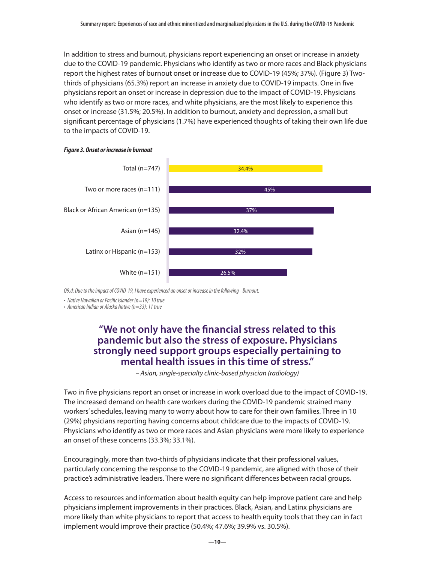In addition to stress and burnout, physicians report experiencing an onset or increase in anxiety due to the COVID-19 pandemic. Physicians who identify as two or more races and Black physicians report the highest rates of burnout onset or increase due to COVID-19 (45%; 37%). (Figure 3) Twothirds of physicians (65.3%) report an increase in anxiety due to COVID-19 impacts. One in five physicians report an onset or increase in depression due to the impact of COVID-19. Physicians who identify as two or more races, and white physicians, are the most likely to experience this onset or increase (31.5%; 20.5%). In addition to burnout, anxiety and depression, a small but significant percentage of physicians (1.7%) have experienced thoughts of taking their own life due to the impacts of COVID-19.





*Q9.d: Due to the impact of COVID-19, I have experienced an onset or increase in the following - Burnout.* 

*• Native Hawaiian or Pacific Islander (n=19): 10 true*

*• American Indian or Alaska Native (n=33): 11 true*

### **"We not only have the financial stress related to this pandemic but also the stress of exposure. Physicians strongly need support groups especially pertaining to mental health issues in this time of stress."**

*– Asian, single-specialty clinic-based physician (radiology)*

Two in five physicians report an onset or increase in work overload due to the impact of COVID-19. The increased demand on health care workers during the COVID-19 pandemic strained many workers' schedules, leaving many to worry about how to care for their own families. Three in 10 (29%) physicians reporting having concerns about childcare due to the impacts of COVID-19. Physicians who identify as two or more races and Asian physicians were more likely to experience an onset of these concerns (33.3%; 33.1%).

Encouragingly, more than two-thirds of physicians indicate that their professional values, particularly concerning the response to the COVID-19 pandemic, are aligned with those of their practice's administrative leaders. There were no significant differences between racial groups.

Access to resources and information about health equity can help improve patient care and help physicians implement improvements in their practices. Black, Asian, and Latinx physicians are more likely than white physicians to report that access to health equity tools that they can in fact implement would improve their practice (50.4%; 47.6%; 39.9% vs. 30.5%).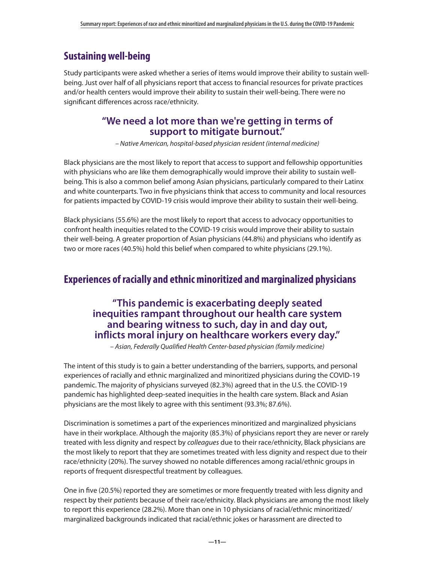# **Sustaining well-being**

Study participants were asked whether a series of items would improve their ability to sustain wellbeing. Just over half of all physicians report that access to financial resources for private practices and/or health centers would improve their ability to sustain their well-being. There were no significant differences across race/ethnicity.

### **"We need a lot more than we're getting in terms of support to mitigate burnout."**

*– Native American, hospital-based physician resident (internal medicine)*

Black physicians are the most likely to report that access to support and fellowship opportunities with physicians who are like them demographically would improve their ability to sustain wellbeing. This is also a common belief among Asian physicians, particularly compared to their Latinx and white counterparts. Two in five physicians think that access to community and local resources for patients impacted by COVID-19 crisis would improve their ability to sustain their well-being.

Black physicians (55.6%) are the most likely to report that access to advocacy opportunities to confront health inequities related to the COVID-19 crisis would improve their ability to sustain their well-being. A greater proportion of Asian physicians (44.8%) and physicians who identify as two or more races (40.5%) hold this belief when compared to white physicians (29.1%).

## **Experiences of racially and ethnic minoritized and marginalized physicians**

## **"This pandemic is exacerbating deeply seated inequities rampant throughout our health care system and bearing witness to such, day in and day out, inflicts moral injury on healthcare workers every day."**

*– Asian, Federally Qualified Health Center-based physician (family medicine)*

The intent of this study is to gain a better understanding of the barriers, supports, and personal experiences of racially and ethnic marginalized and minoritized physicians during the COVID-19 pandemic. The majority of physicians surveyed (82.3%) agreed that in the U.S. the COVID-19 pandemic has highlighted deep-seated inequities in the health care system. Black and Asian physicians are the most likely to agree with this sentiment (93.3%; 87.6%).

Discrimination is sometimes a part of the experiences minoritized and marginalized physicians have in their workplace. Although the majority (85.3%) of physicians report they are never or rarely treated with less dignity and respect by *colleagues* due to their race/ethnicity, Black physicians are the most likely to report that they are sometimes treated with less dignity and respect due to their race/ethnicity (20%). The survey showed no notable differences among racial/ethnic groups in reports of frequent disrespectful treatment by colleagues.

One in five (20.5%) reported they are sometimes or more frequently treated with less dignity and respect by their *patients* because of their race/ethnicity. Black physicians are among the most likely to report this experience (28.2%). More than one in 10 physicians of racial/ethnic minoritized/ marginalized backgrounds indicated that racial/ethnic jokes or harassment are directed to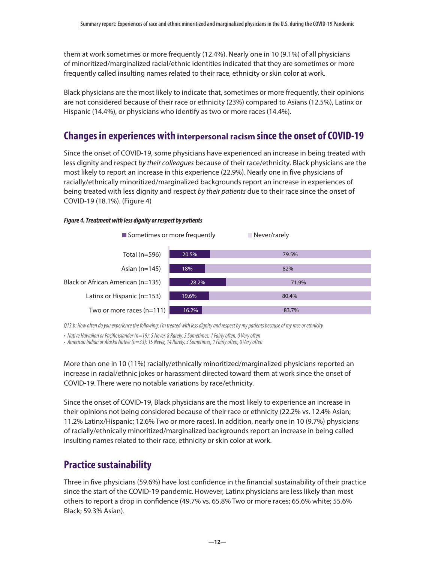them at work sometimes or more frequently (12.4%). Nearly one in 10 (9.1%) of all physicians of minoritized/marginalized racial/ethnic identities indicated that they are sometimes or more frequently called insulting names related to their race, ethnicity or skin color at work.

Black physicians are the most likely to indicate that, sometimes or more frequently, their opinions are not considered because of their race or ethnicity (23%) compared to Asians (12.5%), Latinx or Hispanic (14.4%), or physicians who identify as two or more races (14.4%).

## **Changes in experiences with interpersonal racism since the onset of COVID-19**

Since the onset of COVID-19, some physicians have experienced an increase in being treated with less dignity and respect *by their colleagues* because of their race/ethnicity. Black physicians are the most likely to report an increase in this experience (22.9%). Nearly one in five physicians of racially/ethnically minoritized/marginalized backgrounds report an increase in experiences of being treated with less dignity and respect *by their patients* due to their race since the onset of COVID-19 (18.1%). (Figure 4)

#### *Figure 4. Treatment with less dignity or respect by patients*



*Q13.b: How often do you experience the following: I'm treated with less dignity and respect by my patients because of my race or ethnicity.* 

*• Native Hawaiian or Pacific Islander (n=19): 5 Never, 8 Rarely, 5 Sometimes, 1 Fairly often, 0 Very often*

*• American Indian or Alaska Native (n=33): 15 Never, 14 Rarely, 3 Sometimes, 1 Fairly often, 0 Very often*

More than one in 10 (11%) racially/ethnically minoritized/marginalized physicians reported an increase in racial/ethnic jokes or harassment directed toward them at work since the onset of COVID-19. There were no notable variations by race/ethnicity.

Since the onset of COVID-19, Black physicians are the most likely to experience an increase in their opinions not being considered because of their race or ethnicity (22.2% vs. 12.4% Asian; 11.2% Latinx/Hispanic; 12.6% Two or more races). In addition, nearly one in 10 (9.7%) physicians of racially/ethnically minoritized/marginalized backgrounds report an increase in being called insulting names related to their race, ethnicity or skin color at work.

## **Practice sustainability**

Three in five physicians (59.6%) have lost confidence in the financial sustainability of their practice since the start of the COVID-19 pandemic. However, Latinx physicians are less likely than most others to report a drop in confidence (49.7% vs. 65.8% Two or more races; 65.6% white; 55.6% Black; 59.3% Asian).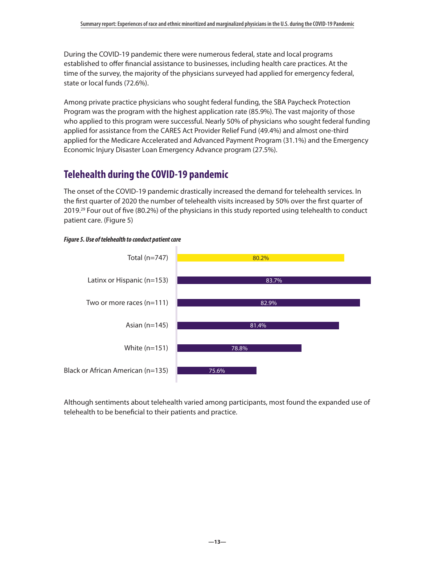<span id="page-12-0"></span>During the COVID-19 pandemic there were numerous federal, state and local programs established to offer financial assistance to businesses, including health care practices. At the time of the survey, the majority of the physicians surveyed had applied for emergency federal, state or local funds (72.6%).

Among private practice physicians who sought federal funding, the SBA Paycheck Protection Program was the program with the highest application rate (85.9%). The vast majority of those who applied to this program were successful. Nearly 50% of physicians who sought federal funding applied for assistance from the CARES Act Provider Relief Fund (49.4%) and almost one-third applied for the Medicare Accelerated and Advanced Payment Program (31.1%) and the Emergency Economic Injury Disaster Loan Emergency Advance program (27.5%).

# **Telehealth during the COVID-19 pandemic**

The onset of the COVID-19 pandemic drastically increased the demand for telehealth services. In the first quarter of 2020 the number of telehealth visits increased by 50% over the first quarter of 2019.<sup>29</sup> Four out of five (80.2%) of the physicians in this study reported using telehealth to conduct patient care. (Figure 5)





Although sentiments about telehealth varied among participants, most found the expanded use of telehealth to be beneficial to their patients and practice.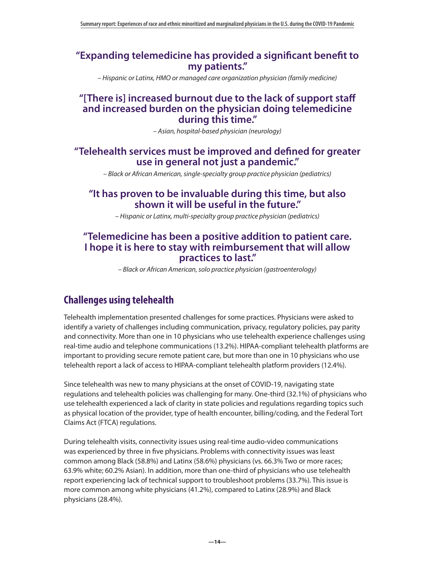### **"Expanding telemedicine has provided a significant benefit to my patients."**

*– Hispanic or Latinx, HMO or managed care organization physician (family medicine)*

#### **"[There is] increased burnout due to the lack of support staff and increased burden on the physician doing telemedicine during this time."**

*– Asian, hospital-based physician (neurology)*

### **"Telehealth services must be improved and defined for greater use in general not just a pandemic."**

*– Black or African American, single-specialty group practice physician (pediatrics)*

### **"It has proven to be invaluable during this time, but also shown it will be useful in the future."**

*– Hispanic or Latinx, multi-specialty group practice physician (pediatrics)*

#### **"Telemedicine has been a positive addition to patient care. I hope it is here to stay with reimbursement that will allow practices to last."**

*– Black or African American, solo practice physician (gastroenterology)*

# **Challenges using telehealth**

Telehealth implementation presented challenges for some practices. Physicians were asked to identify a variety of challenges including communication, privacy, regulatory policies, pay parity and connectivity. More than one in 10 physicians who use telehealth experience challenges using real-time audio and telephone communications (13.2%). HIPAA-compliant telehealth platforms are important to providing secure remote patient care, but more than one in 10 physicians who use telehealth report a lack of access to HIPAA-compliant telehealth platform providers (12.4%).

Since telehealth was new to many physicians at the onset of COVID-19, navigating state regulations and telehealth policies was challenging for many. One-third (32.1%) of physicians who use telehealth experienced a lack of clarity in state policies and regulations regarding topics such as physical location of the provider, type of health encounter, billing/coding, and the Federal Tort Claims Act (FTCA) regulations.

During telehealth visits, connectivity issues using real-time audio-video communications was experienced by three in five physicians. Problems with connectivity issues was least common among Black (58.8%) and Latinx (58.6%) physicians (vs. 66.3% Two or more races; 63.9% white; 60.2% Asian). In addition, more than one-third of physicians who use telehealth report experiencing lack of technical support to troubleshoot problems (33.7%). This issue is more common among white physicians (41.2%), compared to Latinx (28.9%) and Black physicians (28.4%).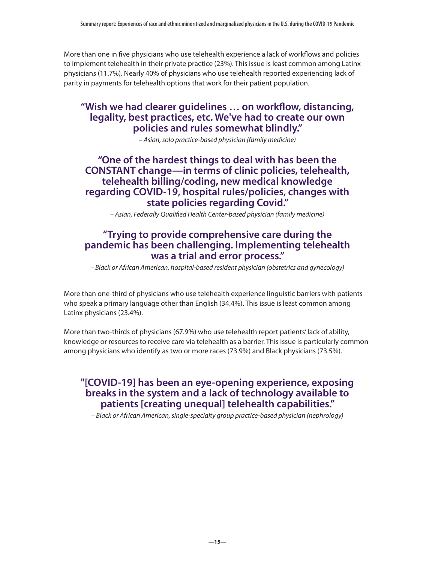More than one in five physicians who use telehealth experience a lack of workflows and policies to implement telehealth in their private practice (23%). This issue is least common among Latinx physicians (11.7%). Nearly 40% of physicians who use telehealth reported experiencing lack of parity in payments for telehealth options that work for their patient population.

## **"Wish we had clearer guidelines … on workflow, distancing, legality, best practices, etc. We've had to create our own policies and rules somewhat blindly."**

*– Asian, solo practice-based physician (family medicine)*

## **"One of the hardest things to deal with has been the CONSTANT change—in terms of clinic policies, telehealth, telehealth billing/coding, new medical knowledge regarding COVID-19, hospital rules/policies, changes with state policies regarding Covid."**

*– Asian, Federally Qualified Health Center-based physician (family medicine)*

### **"Trying to provide comprehensive care during the pandemic has been challenging. Implementing telehealth was a trial and error process."**

*– Black or African American, hospital-based resident physician (obstetrics and gynecology)*

More than one-third of physicians who use telehealth experience linguistic barriers with patients who speak a primary language other than English (34.4%). This issue is least common among Latinx physicians (23.4%).

More than two-thirds of physicians (67.9%) who use telehealth report patients' lack of ability, knowledge or resources to receive care via telehealth as a barrier. This issue is particularly common among physicians who identify as two or more races (73.9%) and Black physicians (73.5%).

## **"[COVID-19] has been an eye-opening experience, exposing breaks in the system and a lack of technology available to patients [creating unequal] telehealth capabilities."**

*– Black or African American, single-specialty group practice-based physician (nephrology)*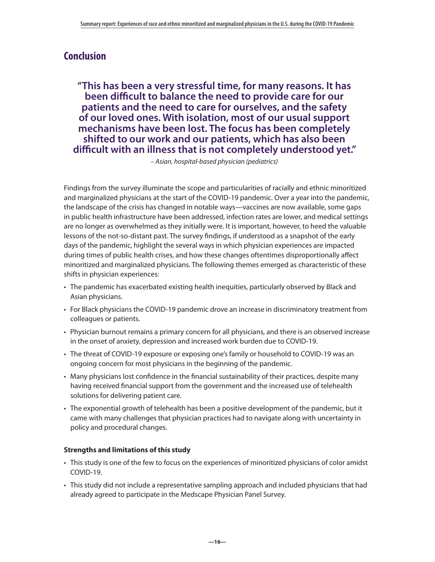## **Conclusion**

**"This has been a very stressful time, for many reasons. It has been difficult to balance the need to provide care for our patients and the need to care for ourselves, and the safety of our loved ones. With isolation, most of our usual support mechanisms have been lost. The focus has been completely shifted to our work and our patients, which has also been difficult with an illness that is not completely understood yet."** 

*– Asian, hospital-based physician (pediatrics)*

Findings from the survey illuminate the scope and particularities of racially and ethnic minoritized and marginalized physicians at the start of the COVID-19 pandemic. Over a year into the pandemic, the landscape of the crisis has changed in notable ways—vaccines are now available, some gaps in public health infrastructure have been addressed, infection rates are lower, and medical settings are no longer as overwhelmed as they initially were. It is important, however, to heed the valuable lessons of the not-so-distant past. The survey findings, if understood as a snapshot of the early days of the pandemic, highlight the several ways in which physician experiences are impacted during times of public health crises, and how these changes oftentimes disproportionally affect minoritized and marginalized physicians. The following themes emerged as characteristic of these shifts in physician experiences:

- The pandemic has exacerbated existing health inequities, particularly observed by Black and Asian physicians.
- For Black physicians the COVID-19 pandemic drove an increase in discriminatory treatment from colleagues or patients.
- Physician burnout remains a primary concern for all physicians, and there is an observed increase in the onset of anxiety, depression and increased work burden due to COVID-19.
- The threat of COVID-19 exposure or exposing one's family or household to COVID-19 was an ongoing concern for most physicians in the beginning of the pandemic.
- Many physicians lost confidence in the financial sustainability of their practices, despite many having received financial support from the government and the increased use of telehealth solutions for delivering patient care.
- The exponential growth of telehealth has been a positive development of the pandemic, but it came with many challenges that physician practices had to navigate along with uncertainty in policy and procedural changes.

#### **Strengths and limitations of this study**

- This study is one of the few to focus on the experiences of minoritized physicians of color amidst COVID-19.
- This study did not include a representative sampling approach and included physicians that had already agreed to participate in the Medscape Physician Panel Survey.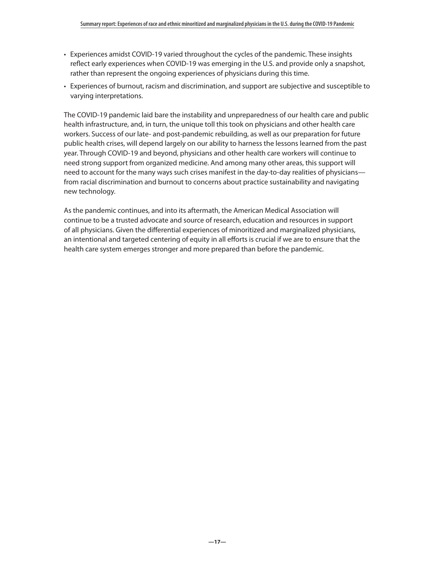- Experiences amidst COVID-19 varied throughout the cycles of the pandemic. These insights reflect early experiences when COVID-19 was emerging in the U.S. and provide only a snapshot, rather than represent the ongoing experiences of physicians during this time.
- Experiences of burnout, racism and discrimination, and support are subjective and susceptible to varying interpretations.

The COVID-19 pandemic laid bare the instability and unpreparedness of our health care and public health infrastructure, and, in turn, the unique toll this took on physicians and other health care workers. Success of our late- and post-pandemic rebuilding, as well as our preparation for future public health crises, will depend largely on our ability to harness the lessons learned from the past year. Through COVID-19 and beyond, physicians and other health care workers will continue to need strong support from organized medicine. And among many other areas, this support will need to account for the many ways such crises manifest in the day-to-day realities of physicians from racial discrimination and burnout to concerns about practice sustainability and navigating new technology.

As the pandemic continues, and into its aftermath, the American Medical Association will continue to be a trusted advocate and source of research, education and resources in support of all physicians. Given the differential experiences of minoritized and marginalized physicians, an intentional and targeted centering of equity in all efforts is crucial if we are to ensure that the health care system emerges stronger and more prepared than before the pandemic.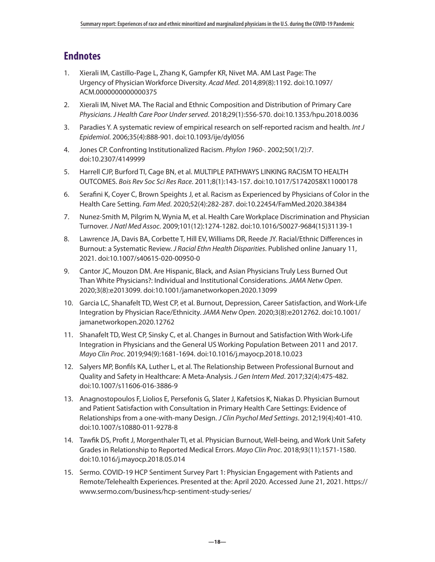# <span id="page-17-0"></span>**Endnotes**

- 1. Xierali IM, Castillo-Page L, Zhang K, Gampfer KR, Nivet MA. AM Last Page: The Urgency of Physician Workforce Diversity. *Acad Med*. 2014;89(8):1192. doi:10.1097/ ACM.0000000000000375
- [2](#page-0-0). Xierali IM, Nivet MA. The Racial and Ethnic Composition and Distribution of Primary Care *Physicians. J Health Care Poor Under served*. 2018;29(1):556-570. doi:10.1353/hpu.2018.0036
- [3](#page-1-0). Paradies Y. A systematic review of empirical research on self-reported racism and health. *Int J Epidemiol*. 2006;35(4):888-901. doi:10.1093/ije/dyl056
- [4](#page-1-0). Jones CP. Confronting Institutionalized Racism. *Phylon 1960-*. 2002;50(1/2):7. doi:10.2307/4149999
- [5](#page-1-0). Harrell CJP, Burford TI, Cage BN, et al. MULTIPLE PATHWAYS LINKING RACISM TO HEALTH OUTCOMES. *Bois Rev Soc Sci Res Race*. 2011;8(1):143-157. doi:10.1017/S1742058X11000178
- [6](#page-1-0). Serafini K, Coyer C, Brown Speights J, et al. Racism as Experienced by Physicians of Color in the Health Care Setting. *Fam Med*. 2020;52(4):282-287. doi:10.22454/FamMed.2020.384384
- [7](#page-1-0). Nunez-Smith M, Pilgrim N, Wynia M, et al. Health Care Workplace Discrimination and Physician Turnover. *J Natl Med Assoc*. 2009;101(12):1274-1282. doi:10.1016/S0027-9684(15)31139-1
- [8](#page-1-0). Lawrence JA, Davis BA, Corbette T, Hill EV, Williams DR, Reede JY. Racial/Ethnic Differences in Burnout: a Systematic Review. *J Racial Ethn Health Disparities*. Published online January 11, 2021. doi:10.1007/s40615-020-00950-0
- [9](#page-1-0). Cantor JC, Mouzon DM. Are Hispanic, Black, and Asian Physicians Truly Less Burned Out Than White Physicians?: Individual and Institutional Considerations. *JAMA Netw Open*. 2020;3(8):e2013099. doi:10.1001/jamanetworkopen.2020.13099
- [10.](#page-1-0) Garcia LC, Shanafelt TD, West CP, et al. Burnout, Depression, Career Satisfaction, and Work-Life Integration by Physician Race/Ethnicity. *JAMA Netw Open*. 2020;3(8):e2012762. doi:10.1001/ jamanetworkopen.2020.12762
- [11.](#page-1-0) Shanafelt TD, West CP, Sinsky C, et al. Changes in Burnout and Satisfaction With Work-Life Integration in Physicians and the General US Working Population Between 2011 and 2017. *Mayo Clin Proc*. 2019;94(9):1681-1694. doi:10.1016/j.mayocp.2018.10.023
- [12.](#page-1-0) Salyers MP, Bonfils KA, Luther L, et al. The Relationship Between Professional Burnout and Quality and Safety in Healthcare: A Meta-Analysis. *J Gen Intern Med*. 2017;32(4):475-482. doi:10.1007/s11606-016-3886-9
- [13.](#page-1-0) Anagnostopoulos F, Liolios E, Persefonis G, Slater J, Kafetsios K, Niakas D. Physician Burnout and Patient Satisfaction with Consultation in Primary Health Care Settings: Evidence of Relationships from a one-with-many Design. *J Clin Psychol Med Settings*. 2012;19(4):401-410. doi:10.1007/s10880-011-9278-8
- [14.](#page-1-0) Tawfik DS, Profit J, Morgenthaler TI, et al. Physician Burnout, Well-being, and Work Unit Safety Grades in Relationship to Reported Medical Errors. *Mayo Clin Proc*. 2018;93(11):1571-1580. doi:10.1016/j.mayocp.2018.05.014
- [15.](#page-1-0) Sermo. COVID-19 HCP Sentiment Survey Part 1: Physician Engagement with Patients and Remote/Telehealth Experiences. Presented at the: April 2020. Accessed June 21, 2021. https:// www.sermo.com/business/hcp-sentiment-study-series/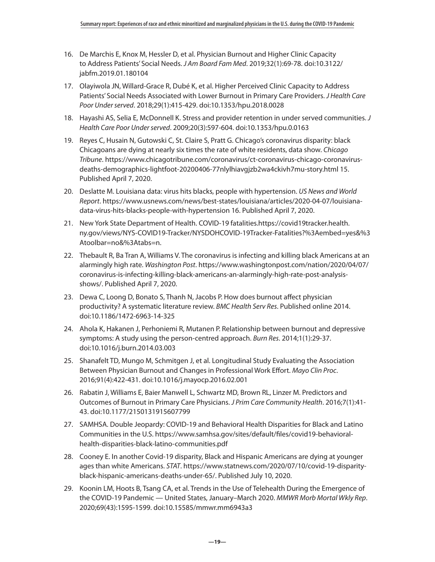- <span id="page-18-0"></span>[16.](#page-2-0) De Marchis E, Knox M, Hessler D, et al. Physician Burnout and Higher Clinic Capacity to Address Patients' Social Needs. *J Am Board Fam Med*. 2019;32(1):69-78. doi:10.3122/ jabfm.2019.01.180104
- [17.](#page-2-0) Olayiwola JN, Willard-Grace R, Dubé K, et al. Higher Perceived Clinic Capacity to Address Patients' Social Needs Associated with Lower Burnout in Primary Care Providers. *J Health Care Poor Under served*. 2018;29(1):415-429. doi:10.1353/hpu.2018.0028
- [18.](#page-2-0) Hayashi AS, Selia E, McDonnell K. Stress and provider retention in under served communities. *J Health Care Poor Under served*. 2009;20(3):597-604. doi:10.1353/hpu.0.0163
- [19.](#page-2-0) Reyes C, Husain N, Gutowski C, St. Claire S, Pratt G. Chicago's coronavirus disparity: black Chicagoans are dying at nearly six times the rate of white residents, data show. *Chicago Tribune*. https://www.chicagotribune.com/coronavirus/ct-coronavirus-chicago-coronavirusdeaths-demographics-lightfoot-20200406-77nlylhiavgjzb2wa4ckivh7mu-story.html 15. Published April 7, 2020.
- [20.](#page-2-0) Deslatte M. Louisiana data: virus hits blacks, people with hypertension. *US News and World Report*. https://www.usnews.com/news/best-states/louisiana/articles/2020-04-07/louisianadata-virus-hits-blacks-people-with-hypertension 16. Published April 7, 2020.
- [21.](#page-2-0) New York State Department of Health. COVID-19 fatalities.https://covid19tracker.health. ny.gov/views/NYS-COVID19-Tracker/NYSDOHCOVID-19Tracker-Fatalities?%3Aembed=yes&%3 Atoolbar=no&%3Atabs=n.
- [22.](#page-2-0) Thebault R, Ba Tran A, Williams V. The coronavirus is infecting and killing black Americans at an alarmingly high rate. *Washington Post*. https://www.washingtonpost.com/nation/2020/04/07/ coronavirus-is-infecting-killing-black-americans-an-alarmingly-high-rate-post-analysisshows/. Published April 7, 2020.
- [23.](#page-2-0) Dewa C, Loong D, Bonato S, Thanh N, Jacobs P. How does burnout affect physician productivity? A systematic literature review. *BMC Health Serv Res*. Published online 2014. doi:10.1186/1472-6963-14-325
- [24.](#page-2-0) Ahola K, Hakanen J, Perhoniemi R, Mutanen P. Relationship between burnout and depressive symptoms: A study using the person-centred approach. *Burn Res*. 2014;1(1):29-37. doi:10.1016/j.burn.2014.03.003
- [25.](#page-2-0) Shanafelt TD, Mungo M, Schmitgen J, et al. Longitudinal Study Evaluating the Association Between Physician Burnout and Changes in Professional Work Effort. *Mayo Clin Proc*. 2016;91(4):422-431. doi:10.1016/j.mayocp.2016.02.001
- [26.](#page-2-0) Rabatin J, Williams E, Baier Manwell L, Schwartz MD, Brown RL, Linzer M. Predictors and Outcomes of Burnout in Primary Care Physicians. *J Prim Care Community Health*. 2016;7(1):41- 43. doi:10.1177/2150131915607799
- [27.](#page-5-0) SAMHSA. Double Jeopardy: COVID-19 and Behavioral Health Disparities for Black and Latino Communities in the U.S. https://www.samhsa.gov/sites/default/files/covid19-behavioralhealth-disparities-black-latino-communities.pdf
- [28.](#page-5-0) Cooney E. In another Covid-19 disparity, Black and Hispanic Americans are dying at younger ages than white Americans. *STAT*. https://www.statnews.com/2020/07/10/covid-19-disparityblack-hispanic-americans-deaths-under-65/. Published July 10, 2020.
- [29.](#page-12-0) Koonin LM, Hoots B, Tsang CA, et al. Trends in the Use of Telehealth During the Emergence of the COVID-19 Pandemic — United States, January–March 2020. *MMWR Morb Mortal Wkly Rep*. 2020;69(43):1595-1599. doi:10.15585/mmwr.mm6943a3